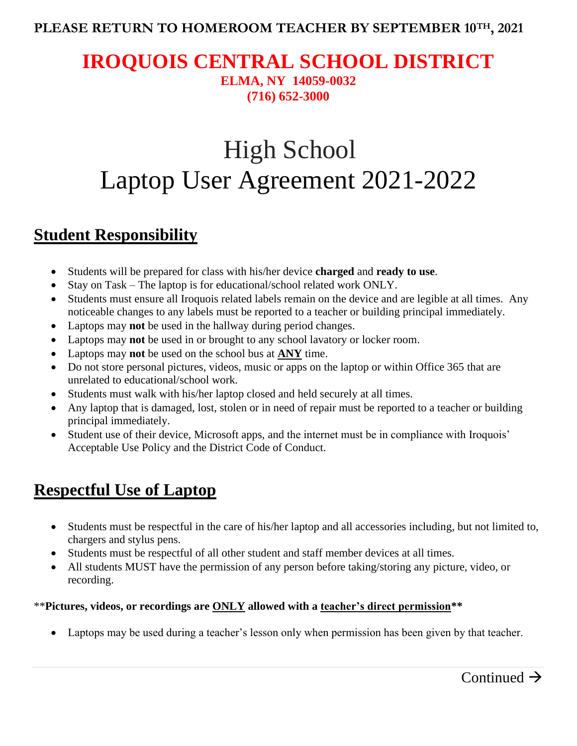### **PLEASE RETURN TO HOMEROOM TEACHER BY SEPTEMBER 10TH, 2021**

### **IROQUOIS CENTRAL SCHOOL DISTRICT ELMA, NY 14059-0032 (716) 652-3000**

# High School Laptop User Agreement 2021-2022

# **Student Responsibility**

- Students will be prepared for class with his/her device **charged** and **ready to use**.
- Stay on Task The laptop is for educational/school related work ONLY.
- Students must ensure all Iroquois related labels remain on the device and are legible at all times. Any noticeable changes to any labels must be reported to a teacher or building principal immediately.
- Laptops may **not** be used in the hallway during period changes.
- Laptops may **not** be used in or brought to any school lavatory or locker room.
- Laptops may **not** be used on the school bus at **ANY** time.
- Do not store personal pictures, videos, music or apps on the laptop or within Office 365 that are unrelated to educational/school work.
- Students must walk with his/her laptop closed and held securely at all times.
- Any laptop that is damaged, lost, stolen or in need of repair must be reported to a teacher or building principal immediately.
- Student use of their device, Microsoft apps, and the internet must be in compliance with Iroquois' Acceptable Use Policy and the District Code of Conduct.

# **Respectful Use of Laptop**

- Students must be respectful in the care of his/her laptop and all accessories including, but not limited to, chargers and stylus pens.
- Students must be respectful of all other student and staff member devices at all times.
- All students MUST have the permission of any person before taking/storing any picture, video, or recording.

#### \*\***Pictures, videos, or recordings are ONLY allowed with a teacher's direct permission\*\***

Laptops may be used during a teacher's lesson only when permission has been given by that teacher.